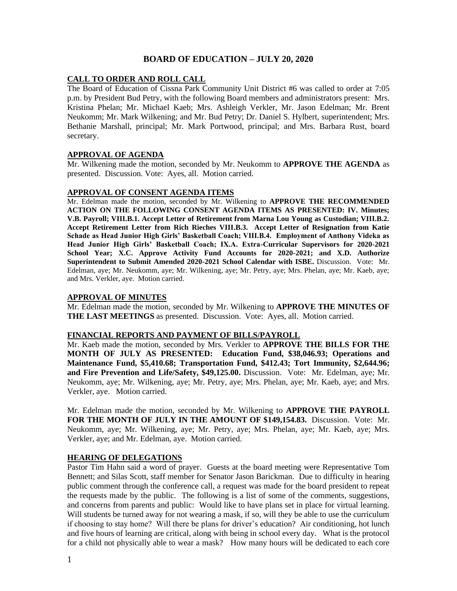# **BOARD OF EDUCATION – JULY 20, 2020**

# **CALL TO ORDER AND ROLL CALL**

The Board of Education of Cissna Park Community Unit District #6 was called to order at 7:05 p.m. by President Bud Petry, with the following Board members and administrators present: Mrs. Kristina Phelan; Mr. Michael Kaeb; Mrs. Ashleigh Verkler, Mr. Jason Edelman; Mr. Brent Neukomm; Mr. Mark Wilkening; and Mr. Bud Petry; Dr. Daniel S. Hylbert, superintendent; Mrs. Bethanie Marshall, principal; Mr. Mark Portwood, principal; and Mrs. Barbara Rust, board secretary.

# **APPROVAL OF AGENDA**

Mr. Wilkening made the motion, seconded by Mr. Neukomm to **APPROVE THE AGENDA** as presented. Discussion. Vote: Ayes, all. Motion carried.

## **APPROVAL OF CONSENT AGENDA ITEMS**

Mr. Edelman made the motion, seconded by Mr. Wilkening to **APPROVE THE RECOMMENDED ACTION ON THE FOLLOWING CONSENT AGENDA ITEMS AS PRESENTED: IV. Minutes; V.B. Payroll; VIII.B.1. Accept Letter of Retirement from Marna Lou Young as Custodian; VIII.B.2. Accept Retirement Letter from Rich Rieches VIII.B.3. Accept Letter of Resignation from Katie Schade as Head Junior High Girls' Basketball Coach; VIII.B.4. Employment of Anthony Videka as Head Junior High Girls' Basketball Coach; IX.A. Extra-Curricular Supervisors for 2020-2021 School Year; X.C. Approve Activity Fund Accounts for 2020-2021; and X.D. Authorize Superintendent to Submit Amended 2020-2021 School Calendar with ISBE.** Discussion. Vote: Mr. Edelman, aye; Mr. Neukomm, aye; Mr. Wilkening, aye; Mr. Petry, aye; Mrs. Phelan, aye; Mr. Kaeb, aye; and Mrs. Verkler, aye. Motion carried.

### **APPROVAL OF MINUTES**

Mr. Edelman made the motion, seconded by Mr. Wilkening to **APPROVE THE MINUTES OF THE LAST MEETINGS** as presented. Discussion. Vote: Ayes, all. Motion carried.

### **FINANCIAL REPORTS AND PAYMENT OF BILLS/PAYROLL**

Mr. Kaeb made the motion, seconded by Mrs. Verkler to **APPROVE THE BILLS FOR THE MONTH OF JULY AS PRESENTED: Education Fund, \$38,046.93; Operations and Maintenance Fund, \$5,410.68; Transportation Fund, \$412.43; Tort Immunity, \$2,644.96; and Fire Prevention and Life/Safety, \$49,125.00.** Discussion. Vote: Mr. Edelman, aye; Mr. Neukomm, aye; Mr. Wilkening, aye; Mr. Petry, aye; Mrs. Phelan, aye; Mr. Kaeb, aye; and Mrs. Verkler, aye. Motion carried.

Mr. Edelman made the motion, seconded by Mr. Wilkening to **APPROVE THE PAYROLL FOR THE MONTH OF JULY IN THE AMOUNT OF \$149,154.83.** Discussion. Vote: Mr. Neukomm, aye; Mr. Wilkening, aye; Mr. Petry, aye; Mrs. Phelan, aye; Mr. Kaeb, aye; Mrs. Verkler, aye; and Mr. Edelman, aye. Motion carried.

# **HEARING OF DELEGATIONS**

Pastor Tim Hahn said a word of prayer. Guests at the board meeting were Representative Tom Bennett; and Silas Scott, staff member for Senator Jason Barickman. Due to difficulty in hearing public comment through the conference call, a request was made for the board president to repeat the requests made by the public. The following is a list of some of the comments, suggestions, and concerns from parents and public: Would like to have plans set in place for virtual learning. Will students be turned away for not wearing a mask, if so, will they be able to use the curriculum if choosing to stay home? Will there be plans for driver's education? Air conditioning, hot lunch and five hours of learning are critical, along with being in school every day. What is the protocol for a child not physically able to wear a mask? How many hours will be dedicated to each core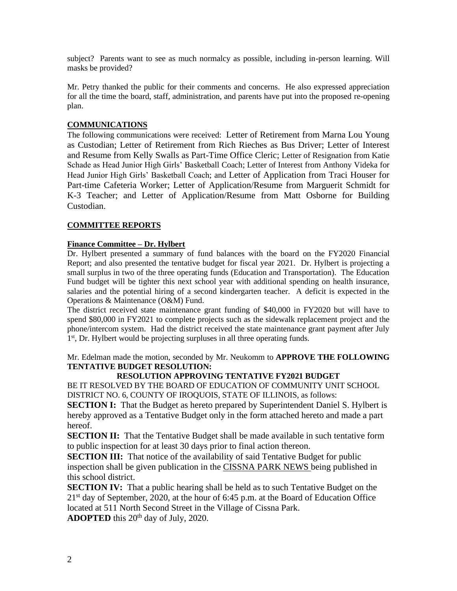subject? Parents want to see as much normalcy as possible, including in-person learning. Will masks be provided?

Mr. Petry thanked the public for their comments and concerns. He also expressed appreciation for all the time the board, staff, administration, and parents have put into the proposed re-opening plan.

# **COMMUNICATIONS**

The following communications were received: Letter of Retirement from Marna Lou Young as Custodian; Letter of Retirement from Rich Rieches as Bus Driver; Letter of Interest and Resume from Kelly Swalls as Part-Time Office Cleric; Letter of Resignation from Katie Schade as Head Junior High Girls' Basketball Coach; Letter of Interest from Anthony Videka for Head Junior High Girls' Basketball Coach; and Letter of Application from Traci Houser for Part-time Cafeteria Worker; Letter of Application/Resume from Marguerit Schmidt for K-3 Teacher; and Letter of Application/Resume from Matt Osborne for Building Custodian.

# **COMMITTEE REPORTS**

# **Finance Committee – Dr. Hylbert**

Dr. Hylbert presented a summary of fund balances with the board on the FY2020 Financial Report; and also presented the tentative budget for fiscal year 2021. Dr. Hylbert is projecting a small surplus in two of the three operating funds (Education and Transportation). The Education Fund budget will be tighter this next school year with additional spending on health insurance, salaries and the potential hiring of a second kindergarten teacher. A deficit is expected in the Operations & Maintenance (O&M) Fund.

The district received state maintenance grant funding of \$40,000 in FY2020 but will have to spend \$80,000 in FY2021 to complete projects such as the sidewalk replacement project and the phone/intercom system. Had the district received the state maintenance grant payment after July 1<sup>st</sup>, Dr. Hylbert would be projecting surpluses in all three operating funds.

Mr. Edelman made the motion, seconded by Mr. Neukomm to **APPROVE THE FOLLOWING TENTATIVE BUDGET RESOLUTION:**

# **RESOLUTION APPROVING TENTATIVE FY2021 BUDGET**

BE IT RESOLVED BY THE BOARD OF EDUCATION OF COMMUNITY UNIT SCHOOL DISTRICT NO. 6, COUNTY OF IROQUOIS, STATE OF ILLINOIS, as follows:

**SECTION I:** That the Budget as hereto prepared by Superintendent Daniel S. Hylbert is hereby approved as a Tentative Budget only in the form attached hereto and made a part hereof.

**SECTION II:** That the Tentative Budget shall be made available in such tentative form to public inspection for at least 30 days prior to final action thereon.

**SECTION III:** That notice of the availability of said Tentative Budget for public inspection shall be given publication in the CISSNA PARK NEWS being published in this school district.

**SECTION IV:** That a public hearing shall be held as to such Tentative Budget on the  $21<sup>st</sup>$  day of September, 2020, at the hour of 6:45 p.m. at the Board of Education Office located at 511 North Second Street in the Village of Cissna Park.

**ADOPTED** this  $20<sup>th</sup>$  day of July, 2020.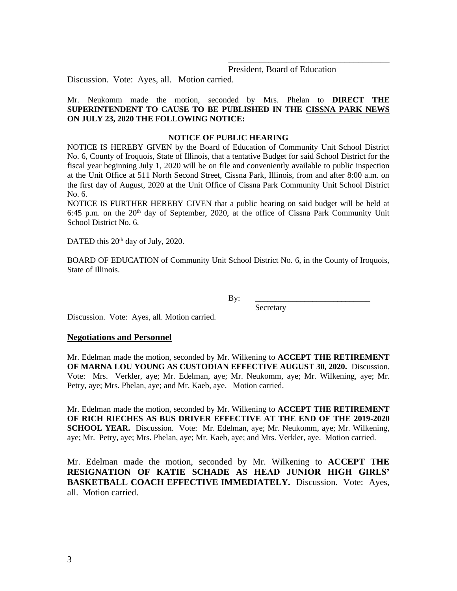President, Board of Education

\_\_\_\_\_\_\_\_\_\_\_\_\_\_\_\_\_\_\_\_\_\_\_\_\_\_\_\_\_\_\_\_\_\_\_\_

Discussion. Vote: Ayes, all. Motion carried.

# Mr. Neukomm made the motion, seconded by Mrs. Phelan to **DIRECT THE SUPERINTENDENT TO CAUSE TO BE PUBLISHED IN THE CISSNA PARK NEWS ON JULY 23, 2020 THE FOLLOWING NOTICE:**

## **NOTICE OF PUBLIC HEARING**

NOTICE IS HEREBY GIVEN by the Board of Education of Community Unit School District No. 6, County of Iroquois, State of Illinois, that a tentative Budget for said School District for the fiscal year beginning July 1, 2020 will be on file and conveniently available to public inspection at the Unit Office at 511 North Second Street, Cissna Park, Illinois, from and after 8:00 a.m. on the first day of August, 2020 at the Unit Office of Cissna Park Community Unit School District No. 6.

NOTICE IS FURTHER HEREBY GIVEN that a public hearing on said budget will be held at 6:45 p.m. on the  $20<sup>th</sup>$  day of September, 2020, at the office of Cissna Park Community Unit School District No. 6.

DATED this 20<sup>th</sup> day of July, 2020.

BOARD OF EDUCATION of Community Unit School District No. 6, in the County of Iroquois, State of Illinois.

By: \_\_\_\_\_\_\_\_\_\_\_\_\_\_\_\_\_\_\_\_\_\_\_\_\_\_\_\_

**Secretary** 

Discussion. Vote: Ayes, all. Motion carried.

### **Negotiations and Personnel**

Mr. Edelman made the motion, seconded by Mr. Wilkening to **ACCEPT THE RETIREMENT OF MARNA LOU YOUNG AS CUSTODIAN EFFECTIVE AUGUST 30, 2020.** Discussion. Vote: Mrs. Verkler, aye; Mr. Edelman, aye; Mr. Neukomm, aye; Mr. Wilkening, aye; Mr. Petry, aye; Mrs. Phelan, aye; and Mr. Kaeb, aye. Motion carried.

Mr. Edelman made the motion, seconded by Mr. Wilkening to **ACCEPT THE RETIREMENT OF RICH RIECHES AS BUS DRIVER EFFECTIVE AT THE END OF THE 2019-2020 SCHOOL YEAR.** Discussion. Vote: Mr. Edelman, aye; Mr. Neukomm, aye; Mr. Wilkening, aye; Mr. Petry, aye; Mrs. Phelan, aye; Mr. Kaeb, aye; and Mrs. Verkler, aye. Motion carried.

Mr. Edelman made the motion, seconded by Mr. Wilkening to **ACCEPT THE RESIGNATION OF KATIE SCHADE AS HEAD JUNIOR HIGH GIRLS' BASKETBALL COACH EFFECTIVE IMMEDIATELY.** Discussion. Vote: Ayes, all. Motion carried.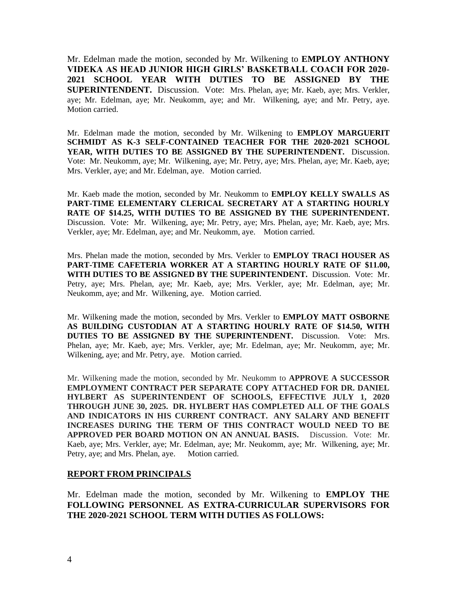Mr. Edelman made the motion, seconded by Mr. Wilkening to **EMPLOY ANTHONY VIDEKA AS HEAD JUNIOR HIGH GIRLS' BASKETBALL COACH FOR 2020- 2021 SCHOOL YEAR WITH DUTIES TO BE ASSIGNED BY THE SUPERINTENDENT.** Discussion. Vote: Mrs. Phelan, aye; Mr. Kaeb, aye; Mrs. Verkler, aye; Mr. Edelman, aye; Mr. Neukomm, aye; and Mr. Wilkening, aye; and Mr. Petry, aye. Motion carried.

Mr. Edelman made the motion, seconded by Mr. Wilkening to **EMPLOY MARGUERIT SCHMIDT AS K-3 SELF-CONTAINED TEACHER FOR THE 2020-2021 SCHOOL YEAR, WITH DUTIES TO BE ASSIGNED BY THE SUPERINTENDENT.** Discussion. Vote: Mr. Neukomm, aye; Mr. Wilkening, aye; Mr. Petry, aye; Mrs. Phelan, aye; Mr. Kaeb, aye; Mrs. Verkler, aye; and Mr. Edelman, aye. Motion carried.

Mr. Kaeb made the motion, seconded by Mr. Neukomm to **EMPLOY KELLY SWALLS AS PART-TIME ELEMENTARY CLERICAL SECRETARY AT A STARTING HOURLY RATE OF \$14.25, WITH DUTIES TO BE ASSIGNED BY THE SUPERINTENDENT.** Discussion. Vote: Mr. Wilkening, aye; Mr. Petry, aye; Mrs. Phelan, aye; Mr. Kaeb, aye; Mrs. Verkler, aye; Mr. Edelman, aye; and Mr. Neukomm, aye. Motion carried.

Mrs. Phelan made the motion, seconded by Mrs. Verkler to **EMPLOY TRACI HOUSER AS PART-TIME CAFETERIA WORKER AT A STARTING HOURLY RATE OF \$11.00, WITH DUTIES TO BE ASSIGNED BY THE SUPERINTENDENT.** Discussion. Vote: Mr. Petry, aye; Mrs. Phelan, aye; Mr. Kaeb, aye; Mrs. Verkler, aye; Mr. Edelman, aye; Mr. Neukomm, aye; and Mr. Wilkening, aye. Motion carried.

Mr. Wilkening made the motion, seconded by Mrs. Verkler to **EMPLOY MATT OSBORNE AS BUILDING CUSTODIAN AT A STARTING HOURLY RATE OF \$14.50, WITH DUTIES TO BE ASSIGNED BY THE SUPERINTENDENT.** Discussion. Vote: Mrs. Phelan, aye; Mr. Kaeb, aye; Mrs. Verkler, aye; Mr. Edelman, aye; Mr. Neukomm, aye; Mr. Wilkening, aye; and Mr. Petry, aye. Motion carried.

Mr. Wilkening made the motion, seconded by Mr. Neukomm to **APPROVE A SUCCESSOR EMPLOYMENT CONTRACT PER SEPARATE COPY ATTACHED FOR DR. DANIEL HYLBERT AS SUPERINTENDENT OF SCHOOLS, EFFECTIVE JULY 1, 2020 THROUGH JUNE 30, 2025. DR. HYLBERT HAS COMPLETED ALL OF THE GOALS AND INDICATORS IN HIS CURRENT CONTRACT. ANY SALARY AND BENEFIT INCREASES DURING THE TERM OF THIS CONTRACT WOULD NEED TO BE APPROVED PER BOARD MOTION ON AN ANNUAL BASIS.** Discussion. Vote: Mr. Kaeb, aye; Mrs. Verkler, aye; Mr. Edelman, aye; Mr. Neukomm, aye; Mr. Wilkening, aye; Mr. Petry, aye; and Mrs. Phelan, aye. Motion carried.

# **REPORT FROM PRINCIPALS**

Mr. Edelman made the motion, seconded by Mr. Wilkening to **EMPLOY THE FOLLOWING PERSONNEL AS EXTRA-CURRICULAR SUPERVISORS FOR THE 2020-2021 SCHOOL TERM WITH DUTIES AS FOLLOWS:**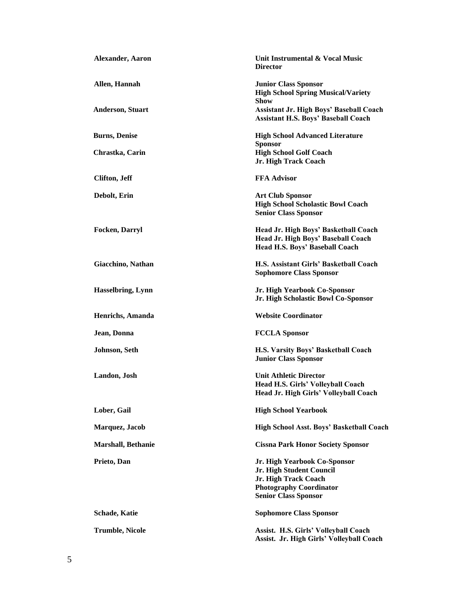| <b>Alexander, Aaron</b>   | Unit Instrumental & Vocal Music<br><b>Director</b>                                                                                                |
|---------------------------|---------------------------------------------------------------------------------------------------------------------------------------------------|
| Allen, Hannah             | <b>Junior Class Sponsor</b><br><b>High School Spring Musical/Variety</b><br><b>Show</b>                                                           |
| <b>Anderson, Stuart</b>   | Assistant Jr. High Boys' Baseball Coach<br><b>Assistant H.S. Boys' Baseball Coach</b>                                                             |
| <b>Burns, Denise</b>      | <b>High School Advanced Literature</b>                                                                                                            |
| Chrastka, Carin           | <b>Sponsor</b><br><b>High School Golf Coach</b><br>Jr. High Track Coach                                                                           |
| <b>Clifton</b> , Jeff     | <b>FFA Advisor</b>                                                                                                                                |
| Debolt, Erin              | <b>Art Club Sponsor</b><br><b>High School Scholastic Bowl Coach</b><br><b>Senior Class Sponsor</b>                                                |
| <b>Focken, Darryl</b>     | Head Jr. High Boys' Basketball Coach<br>Head Jr. High Boys' Baseball Coach<br>Head H.S. Boys' Baseball Coach                                      |
| Giacchino, Nathan         | H.S. Assistant Girls' Basketball Coach<br><b>Sophomore Class Sponsor</b>                                                                          |
| Hasselbring, Lynn         | Jr. High Yearbook Co-Sponsor<br>Jr. High Scholastic Bowl Co-Sponsor                                                                               |
| Henrichs, Amanda          | <b>Website Coordinator</b>                                                                                                                        |
| Jean, Donna               | <b>FCCLA Sponsor</b>                                                                                                                              |
| Johnson, Seth             | H.S. Varsity Boys' Basketball Coach<br><b>Junior Class Sponsor</b>                                                                                |
| Landon, Josh              | <b>Unit Athletic Director</b><br><b>Head H.S. Girls' Volleyball Coach</b><br>Head Jr. High Girls' Volleyball Coach                                |
| Lober, Gail               | <b>High School Yearbook</b>                                                                                                                       |
| Marquez, Jacob            | High School Asst. Boys' Basketball Coach                                                                                                          |
| <b>Marshall, Bethanie</b> | <b>Cissna Park Honor Society Sponsor</b>                                                                                                          |
| Prieto, Dan               | Jr. High Yearbook Co-Sponsor<br>Jr. High Student Council<br>Jr. High Track Coach<br><b>Photography Coordinator</b><br><b>Senior Class Sponsor</b> |
| <b>Schade, Katie</b>      | <b>Sophomore Class Sponsor</b>                                                                                                                    |
| <b>Trumble, Nicole</b>    | Assist. H.S. Girls' Volleyball Coach<br>Assist. Jr. High Girls' Volleyball Coach                                                                  |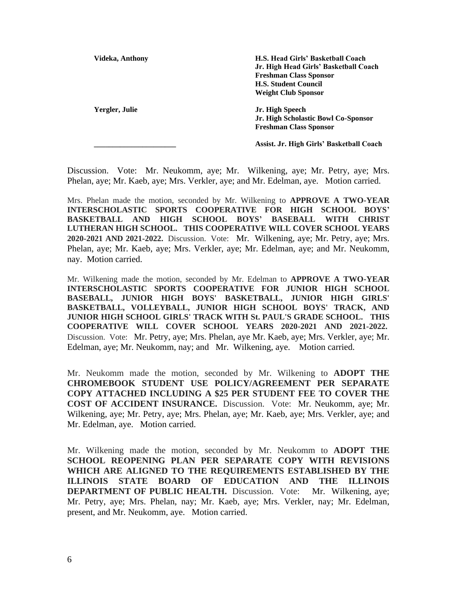**Videka, Anthony H.S. Head Girls' Basketball Coach Jr. High Head Girls' Basketball Coach Freshman Class Sponsor H.S. Student Council Weight Club Sponsor Yergler, Julie Jr. High Speech Jr. High Scholastic Bowl Co-Sponsor Freshman Class Sponsor \_\_\_\_\_\_\_\_\_\_\_\_\_\_\_\_\_\_\_\_\_\_ Assist. Jr. High Girls' Basketball Coach**

Discussion. Vote: Mr. Neukomm, aye; Mr. Wilkening, aye; Mr. Petry, aye; Mrs. Phelan, aye; Mr. Kaeb, aye; Mrs. Verkler, aye; and Mr. Edelman, aye. Motion carried.

Mrs. Phelan made the motion, seconded by Mr. Wilkening to **APPROVE A TWO-YEAR INTERSCHOLASTIC SPORTS COOPERATIVE FOR HIGH SCHOOL BOYS' BASKETBALL AND HIGH SCHOOL BOYS' BASEBALL WITH CHRIST LUTHERAN HIGH SCHOOL. THIS COOPERATIVE WILL COVER SCHOOL YEARS 2020-2021 AND 2021-2022.** Discussion. Vote: Mr. Wilkening, aye; Mr. Petry, aye; Mrs. Phelan, aye; Mr. Kaeb, aye; Mrs. Verkler, aye; Mr. Edelman, aye; and Mr. Neukomm, nay. Motion carried.

Mr. Wilkening made the motion, seconded by Mr. Edelman to **APPROVE A TWO-YEAR INTERSCHOLASTIC SPORTS COOPERATIVE FOR JUNIOR HIGH SCHOOL BASEBALL, JUNIOR HIGH BOYS' BASKETBALL, JUNIOR HIGH GIRLS' BASKETBALL, VOLLEYBALL, JUNIOR HIGH SCHOOL BOYS' TRACK, AND JUNIOR HIGH SCHOOL GIRLS' TRACK WITH St. PAUL'S GRADE SCHOOL. THIS COOPERATIVE WILL COVER SCHOOL YEARS 2020-2021 AND 2021-2022.** Discussion. Vote: Mr. Petry, aye; Mrs. Phelan, aye Mr. Kaeb, aye; Mrs. Verkler, aye; Mr. Edelman, aye; Mr. Neukomm, nay; and Mr. Wilkening, aye. Motion carried.

Mr. Neukomm made the motion, seconded by Mr. Wilkening to **ADOPT THE CHROMEBOOK STUDENT USE POLICY/AGREEMENT PER SEPARATE COPY ATTACHED INCLUDING A \$25 PER STUDENT FEE TO COVER THE COST OF ACCIDENT INSURANCE.** Discussion. Vote: Mr. Neukomm, aye; Mr. Wilkening, aye; Mr. Petry, aye; Mrs. Phelan, aye; Mr. Kaeb, aye; Mrs. Verkler, aye; and Mr. Edelman, aye. Motion carried.

Mr. Wilkening made the motion, seconded by Mr. Neukomm to **ADOPT THE SCHOOL REOPENING PLAN PER SEPARATE COPY WITH REVISIONS WHICH ARE ALIGNED TO THE REQUIREMENTS ESTABLISHED BY THE ILLINOIS STATE BOARD OF EDUCATION AND THE ILLINOIS DEPARTMENT OF PUBLIC HEALTH.** Discussion. Vote: Mr. Wilkening, aye; Mr. Petry, aye; Mrs. Phelan, nay; Mr. Kaeb, aye; Mrs. Verkler, nay; Mr. Edelman, present, and Mr. Neukomm, aye. Motion carried.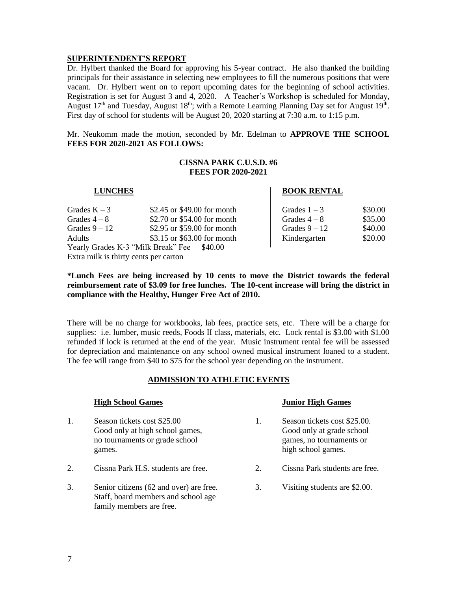# **SUPERINTENDENT'S REPORT**

Dr. Hylbert thanked the Board for approving his 5-year contract. He also thanked the building principals for their assistance in selecting new employees to fill the numerous positions that were vacant. Dr. Hylbert went on to report upcoming dates for the beginning of school activities. Registration is set for August 3 and 4, 2020. A Teacher's Workshop is scheduled for Monday, August 17<sup>th</sup> and Tuesday, August 18<sup>th</sup>; with a Remote Learning Planning Day set for August 19<sup>th</sup>. First day of school for students will be August 20, 2020 starting at 7:30 a.m. to 1:15 p.m.

Mr. Neukomm made the motion, seconded by Mr. Edelman to **APPROVE THE SCHOOL FEES FOR 2020-2021 AS FOLLOWS:**

## **CISSNA PARK C.U.S.D. #6 FEES FOR 2020-2021**

## **LUNCHES BOOK RENTAL**

| Grades $K-3$                          | \$2.45 or \$49.00 for month                | Grades $1-3$  | \$30.00 |  |  |
|---------------------------------------|--------------------------------------------|---------------|---------|--|--|
| Grades $4-8$                          | \$2.70 or \$54.00 for month                | Grades $4-8$  | \$35.00 |  |  |
| Grades $9-12$                         | \$2.95 or \$59.00 for month                | Grades $9-12$ | \$40.00 |  |  |
| Adults                                | \$3.15 or \$63.00 for month                | Kindergarten  | \$20.00 |  |  |
|                                       | Yearly Grades K-3 "Milk Break" Fee \$40.00 |               |         |  |  |
| Extra milk is thirty cents per carton |                                            |               |         |  |  |

**\*Lunch Fees are being increased by 10 cents to move the District towards the federal reimbursement rate of \$3.09 for free lunches. The 10-cent increase will bring the district in compliance with the Healthy, Hunger Free Act of 2010.** 

There will be no charge for workbooks, lab fees, practice sets, etc. There will be a charge for supplies: i.e. lumber, music reeds, Foods II class, materials, etc. Lock rental is \$3.00 with \$1.00 refunded if lock is returned at the end of the year. Music instrument rental fee will be assessed for depreciation and maintenance on any school owned musical instrument loaned to a student. The fee will range from \$40 to \$75 for the school year depending on the instrument.

# **ADMISSION TO ATHLETIC EVENTS**

- 1. Season tickets cost \$25.00 1. Season tickets cost \$25.00. games. high school games.
- 2. Cissna Park H.S. students are free. 2. Cissna Park students are free.
- 3. Senior citizens (62 and over) are free. 3. Visiting students are \$2.00. Staff, board members and school age family members are free.

## **High School Games Junior High Games**

- Good only at high school games, Good only at grade school no tournaments or grade school games, no tournaments or
	-
	-